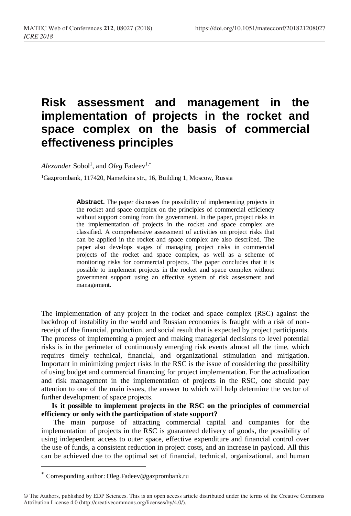# **Risk assessment and management in the implementation of projects in the rocket and space complex on the basis of commercial effectiveness principles**

Alexander Sobol<sup>1</sup>, and Oleg Fadeev<sup>1,\*</sup>

<sup>1</sup>Gazprombank, 117420, Nametkina str., 16, Building 1, Moscow, Russia

Abstract. The paper discusses the possibility of implementing projects in the rocket and space complex on the principles of commercial efficiency without support coming from the government. In the paper, project risks in the implementation of projects in the rocket and space complex are classified. A comprehensive assessment of activities on project risks that can be applied in the rocket and space complex are also described. The paper also develops stages of managing project risks in commercial projects of the rocket and space complex, as well as a scheme of monitoring risks for commercial projects. The paper concludes that it is possible to implement projects in the rocket and space complex without government support using an effective system of risk assessment and management.

The implementation of any project in the rocket and space complex (RSC) against the backdrop of instability in the world and Russian economies is fraught with a risk of nonreceipt of the financial, production, and social result that is expected by project participants. The process of implementing a project and making managerial decisions to level potential risks is in the perimeter of continuously emerging risk events almost all the time, which requires timely technical, financial, and organizational stimulation and mitigation. Important in minimizing project risks in the RSC is the issue of considering the possibility of using budget and commercial financing for project implementation. For the actualization and risk management in the implementation of projects in the RSC, one should pay attention to one of the main issues, the answer to which will help determine the vector of further development of space projects.

**Is it possible to implement projects in the RSC on the principles of commercial efficiency or only with the participation of state support?**

The main purpose of attracting commercial capital and companies for the implementation of projects in the RSC is guaranteed delivery of goods, the possibility of using independent access to outer space, effective expenditure and financial control over the use of funds, a consistent reduction in project costs, and an increase in payload. All this can be achieved due to the optimal set of financial, technical, organizational, and human

 $\overline{a}$ 

<sup>\*</sup> Corresponding author: Oleg.Fadeev@gazprombank.ru

<sup>©</sup> The Authors, published by EDP Sciences. This is an open access article distributed under the terms of the Creative Commons Attribution License 4.0 (http://creativecommons.org/licenses/by/4.0/).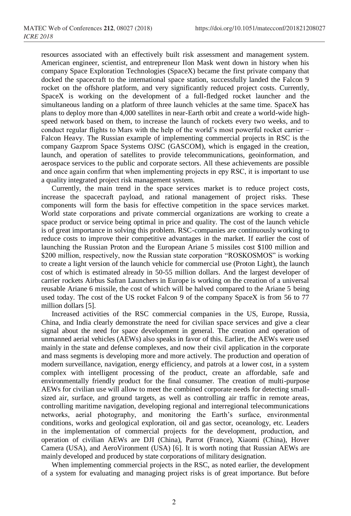resources associated with an effectively built risk assessment and management system. American engineer, scientist, and entrepreneur Ilon Mask went down in history when his company Space Exploration Technologies (SpaceX) became the first private company that docked the spacecraft to the international space station, successfully landed the Falcon 9 rocket on the offshore platform, and very significantly reduced project costs. Currently, SpaceX is working on the development of a full-fledged rocket launcher and the simultaneous landing on a platform of three launch vehicles at the same time. SpaceX has plans to deploy more than 4,000 satellites in near-Earth orbit and create a world-wide highspeed network based on them, to increase the launch of rockets every two weeks, and to conduct regular flights to Mars with the help of the world's most powerful rocket carrier – Falcon Heavy. The Russian example of implementing commercial projects in RSC is the company Gazprom Space Systems OJSC (GASCOM), which is engaged in the creation, launch, and operation of satellites to provide telecommunications, geoinformation, and aerospace services to the public and corporate sectors. All these achievements are possible and once again confirm that when implementing projects in еру RSC, it is important to use a quality integrated project risk management system.

Currently, the main trend in the space services market is to reduce project costs, increase the spacecraft payload, and rational management of project risks. These components will form the basis for effective competition in the space services market. World state corporations and private commercial organizations are working to create a space product or service being optimal in price and quality. The cost of the launch vehicle is of great importance in solving this problem. RSC-companies are continuously working to reduce costs to improve their competitive advantages in the market. If earlier the cost of launching the Russian Proton and the European Ariane 5 missiles cost \$100 million and \$200 million, respectively, now the Russian state corporation "ROSKOSMOS" is working to create a light version of the launch vehicle for commercial use (Proton Light), the launch cost of which is estimated already in 50-55 million dollars. And the largest developer of carrier rockets Airbus Safran Launchers in Europe is working on the creation of a universal reusable Ariane 6 missile, the cost of which will be halved compared to the Ariane 5 being used today. The cost of the US rocket Falcon 9 of the company SpaceX is from 56 to 77 million dollars [5].

Increased activities of the RSC commercial companies in the US, Europe, Russia, China, and India clearly demonstrate the need for civilian space services and give a clear signal about the need for space development in general. The creation and operation of unmanned aerial vehicles (AEWs) also speaks in favor of this. Earlier, the AEWs were used mainly in the state and defense complexes, and now their civil application in the corporate and mass segments is developing more and more actively. The production and operation of modern surveillance, navigation, energy efficiency, and patrols at a lower cost, in a system complex with intelligent processing of the product, create an affordable, safe and environmentally friendly product for the final consumer. The creation of multi-purpose AEWs for civilian use will allow to meet the combined corporate needs for detecting smallsized air, surface, and ground targets, as well as controlling air traffic in remote areas, controlling maritime navigation, developing regional and interregional telecommunications networks, aerial photography, and monitoring the Earth's surface, environmental conditions, works and geological exploration, oil and gas sector, oceanology, etc. Leaders in the implementation of commercial projects for the development, production, and operation of civilian AEWs are DJI (China), Parrot (France), Xiaomi (China), Hover Camera (USA), and AeroVironment (USA) [6]. It is worth noting that Russian AEWs are mainly developed and produced by state corporations of military designation.

When implementing commercial projects in the RSC, as noted earlier, the development of a system for evaluating and managing project risks is of great importance. But before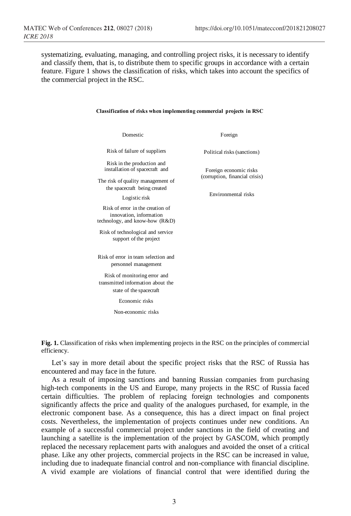systematizing, evaluating, managing, and controlling project risks, it is necessary to identify and classify them, that is, to distribute them to specific groups in accordance with a certain feature. Figure 1 shows the classification of risks, which takes into account the specifics of the commercial project in the RSC.

| Domestic                                                                                                                                                     | Foreign                                                                         |  |
|--------------------------------------------------------------------------------------------------------------------------------------------------------------|---------------------------------------------------------------------------------|--|
| Risk of failure of suppliers                                                                                                                                 | Political risks (sanctions)                                                     |  |
| Risk in the production and<br>installation of spacecraft and<br>The risk of quality management of<br>the spacecraft being created<br>Logistic risk           | Foreign economic risks<br>(corruption, financial crisis)<br>Environmental risks |  |
| Risk of error in the creation of<br>innovation, information<br>technology, and know-how (R&D)<br>Risk of technological and service<br>support of the project |                                                                                 |  |
| Risk of error in team selection and<br>personnel management                                                                                                  |                                                                                 |  |
| Risk of monitoring error and<br>transmitted information about the<br>state of the spacecraft                                                                 |                                                                                 |  |
| Economic risks                                                                                                                                               |                                                                                 |  |
| Non-economic risks                                                                                                                                           |                                                                                 |  |
|                                                                                                                                                              |                                                                                 |  |

### **Classification of risks when implementing commercial projects in RSC**

**Fig. 1.** Classification of risks when implementing projects in the RSC on the principles of commercial efficiency.

Let's say in more detail about the specific project risks that the RSC of Russia has encountered and may face in the future.

As a result of imposing sanctions and banning Russian companies from purchasing high-tech components in the US and Europe, many projects in the RSC of Russia faced certain difficulties. The problem of replacing foreign technologies and components significantly affects the price and quality of the analogues purchased, for example, in the electronic component base. As a consequence, this has a direct impact on final project costs. Nevertheless, the implementation of projects continues under new conditions. An example of a successful commercial project under sanctions in the field of creating and launching a satellite is the implementation of the project by GASCOM, which promptly replaced the necessary replacement parts with analogues and avoided the onset of a critical phase. Like any other projects, commercial projects in the RSC can be increased in value, including due to inadequate financial control and non-compliance with financial discipline. A vivid example are violations of financial control that were identified during the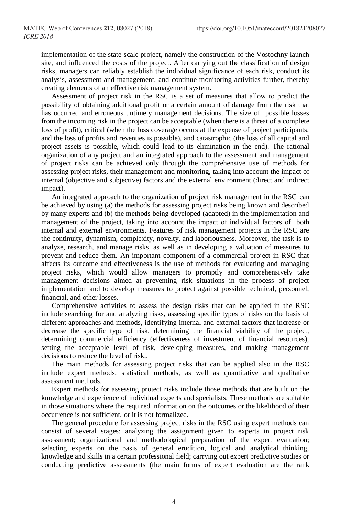implementation of the state-scale project, namely the construction of the Vostochny launch site, and influenced the costs of the project. After carrying out the classification of design risks, managers can reliably establish the individual significance of each risk, conduct its analysis, assessment and management, and continue monitoring activities further, thereby creating elements of an effective risk management system.

Assessment of project risk in the RSC is a set of measures that allow to predict the possibility of obtaining additional profit or a certain amount of damage from the risk that has occurred and erroneous untimely management decisions. The size of possible losses from the incoming risk in the project can be acceptable (when there is a threat of a complete loss of profit), critical (when the loss coverage occurs at the expense of project participants, and the loss of profits and revenues is possible), and catastrophic (the loss of all capital and project assets is possible, which could lead to its elimination in the end). The rational organization of any project and an integrated approach to the assessment and management of project risks can be achieved only through the comprehensive use of methods for assessing project risks, their management and monitoring, taking into account the impact of internal (objective and subjective) factors and the external environment (direct and indirect impact).

An integrated approach to the organization of project risk management in the RSC can be achieved by using (a) the methods for assessing project risks being known and described by many experts and (b) the methods being developed (adapted) in the implementation and management of the project, taking into account the impact of individual factors of both internal and external environments. Features of risk management projects in the RSC are the continuity, dynamism, complexity, novelty, and laboriousness. Moreover, the task is to analyze, research, and manage risks, as well as in developing a valuation of measures to prevent and reduce them. An important component of a commercial project in RSC that affects its outcome and effectiveness is the use of methods for evaluating and managing project risks, which would allow managers to promptly and comprehensively take management decisions aimed at preventing risk situations in the process of project implementation and to develop measures to protect against possible technical, personnel, financial, and other losses.

Comprehensive activities to assess the design risks that can be applied in the RSC include searching for and analyzing risks, assessing specific types of risks on the basis of different approaches and methods, identifying internal and external factors that increase or decrease the specific type of risk, determining the financial viability of the project, determining commercial efficiency (effectiveness of investment of financial resources), setting the acceptable level of risk, developing measures, and making management decisions to reduce the level of risk,.

The main methods for assessing project risks that can be applied also in the RSC include expert methods, statistical methods, as well as quantitative and qualitative assessment methods.

Expert methods for assessing project risks include those methods that are built on the knowledge and experience of individual experts and specialists. These methods are suitable in those situations where the required information on the outcomes or the likelihood of their occurrence is not sufficient, or it is not formalized.

The general procedure for assessing project risks in the RSC using expert methods can consist of several stages: analyzing the assignment given to experts in project risk assessment; organizational and methodological preparation of the expert evaluation; selecting experts on the basis of general erudition, logical and analytical thinking, knowledge and skills in a certain professional field; carrying out expert predictive studies or conducting predictive assessments (the main forms of expert evaluation are the rank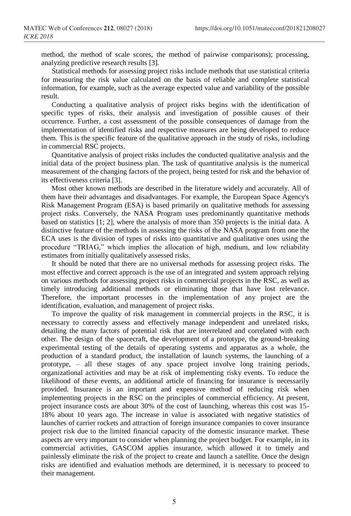method, the method of scale scores, the method of pairwise comparisons); processing, analyzing predictive research results [3].

Statistical methods for assessing project risks include methods that use statistical criteria for measuring the risk value calculated on the basis of reliable and complete statistical information, for example, such as the average expected value and variability of the possible result.

Conducting a qualitative analysis of project risks begins with the identification of specific types of risks, their analysis and investigation of possible causes of their occurrence. Further, a cost assessment of the possible consequences of damage from the implementation of identified risks and respective measures are being developed to reduce them. This is the specific feature of the qualitative approach in the study of risks, including in commercial RSC projects.

Quantitative analysis of project risks includes the conducted qualitative analysis and the initial data of the project business plan. The task of quantitative analysis is the numerical measurement of the changing factors of the project, being tested for risk and the behavior of its effectiveness criteria [3].

Most other known methods are described in the literature widely and accurately. All of them have their advantages and disadvantages. For example, the European Space Agency's Risk Management Program (ESA) is based primarily on qualitative methods for assessing project risks. Conversely, the NASA Program uses predominantly quantitative methods based on statistics [1; 2], where the analysis of more than 350 projects is the initial data. A distinctive feature of the methods in assessing the risks of the NASA program from one the ECA uses is the division of types of risks into quantitative and qualitative ones using the procedure "TRIAG," which implies the allocation of high, medium, and low reliability estimates from initially qualitatively assessed risks.

It should be noted that there are no universal methods for assessing project risks. The most effective and correct approach is the use of an integrated and system approach relying on various methods for assessing project risks in commercial projects in the RSC, as well as timely introducing additional methods or eliminating those that have lost relevance. Therefore, the important processes in the implementation of any project are the identification, evaluation, and management of project risks.

To improve the quality of risk management in commercial projects in the RSC, it is necessary to correctly assess and effectively manage independent and unrelated risks, detailing the many factors of potential risk that are interrelated and correlated with each other. The design of the spacecraft, the development of a prototype, the ground-breaking experimental testing of the details of operating systems and apparatus as a whole, the production of a standard product, the installation of launch systems, the launching of a prototype, – all these stages of any space project involve long training periods, organizational activities and may be at risk of implementing risky events. To reduce the likelihood of these events, an additional article of financing for insurance is necessarily provided. Insurance is an important and expensive method of reducing risk when implementing projects in the RSC on the principles of commercial efficiency. At present, project insurance costs are about 30% of the cost of launching, whereas this cost was 15- 18% about 10 years ago. The increase in value is associated with negative statistics of launches of carrier rockets and attraction of foreign insurance companies to cover insurance project risk due to the limited financial capacity of the domestic insurance market. These aspects are very important to consider when planning the project budget. For example, in its commercial activities, GASCOM applies insurance, which allowed it to timely and painlessly eliminate the risk of the project to create and launch a satellite. Once the design risks are identified and evaluation methods are determined, it is necessary to proceed to their management.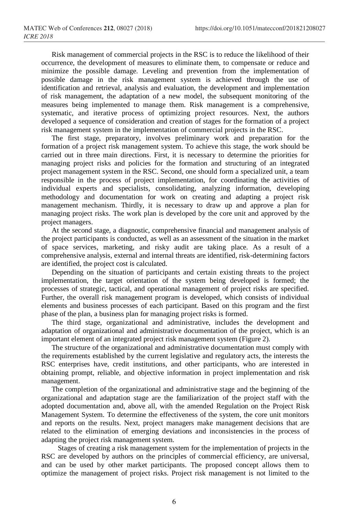Risk management of commercial projects in the RSC is to reduce the likelihood of their occurrence, the development of measures to eliminate them, to compensate or reduce and minimize the possible damage. Leveling and prevention from the implementation of possible damage in the risk management system is achieved through the use of identification and retrieval, analysis and evaluation, the development and implementation of risk management, the adaptation of a new model, the subsequent monitoring of the measures being implemented to manage them. Risk management is a comprehensive, systematic, and iterative process of optimizing project resources. Next, the authors developed a sequence of consideration and creation of stages for the formation of a project risk management system in the implementation of commercial projects in the RSC.

The first stage, preparatory, involves preliminary work and preparation for the formation of a project risk management system. To achieve this stage, the work should be carried out in three main directions. First, it is necessary to determine the priorities for managing project risks and policies for the formation and structuring of an integrated project management system in the RSC. Second, one should form a specialized unit, a team responsible in the process of project implementation, for coordinating the activities of individual experts and specialists, consolidating, analyzing information, developing methodology and documentation for work on creating and adapting a project risk management mechanism. Thirdly, it is necessary to draw up and approve a plan for managing project risks. The work plan is developed by the core unit and approved by the project managers.

At the second stage, a diagnostic, comprehensive financial and management analysis of the project participants is conducted, as well as an assessment of the situation in the market of space services, marketing, and risky audit are taking place. As a result of a comprehensive analysis, external and internal threats are identified, risk-determining factors are identified, the project cost is calculated.

Depending on the situation of participants and certain existing threats to the project implementation, the target orientation of the system being developed is formed; the processes of strategic, tactical, and operational management of project risks are specified. Further, the overall risk management program is developed, which consists of individual elements and business processes of each participant. Based on this program and the first phase of the plan, a business plan for managing project risks is formed.

The third stage, organizational and administrative, includes the development and adaptation of organizational and administrative documentation of the project, which is an important element of an integrated project risk management system (Figure 2).

The structure of the organizational and administrative documentation must comply with the requirements established by the current legislative and regulatory acts, the interests the RSC enterprises have, credit institutions, and other participants, who are interested in obtaining prompt, reliable, and objective information in project implementation and risk management.

The completion of the organizational and administrative stage and the beginning of the organizational and adaptation stage are the familiarization of the project staff with the adopted documentation and, above all, with the amended Regulation on the Project Risk Management System. To determine the effectiveness of the system, the core unit monitors and reports on the results. Next, project managers make management decisions that are related to the elimination of emerging deviations and inconsistencies in the process of adapting the project risk management system.

Stages of creating a risk management system for the implementation of projects in the RSC are developed by authors on the principles of commercial efficiency, are universal, and can be used by other market participants. The proposed concept allows them to optimize the management of project risks. Project risk management is not limited to the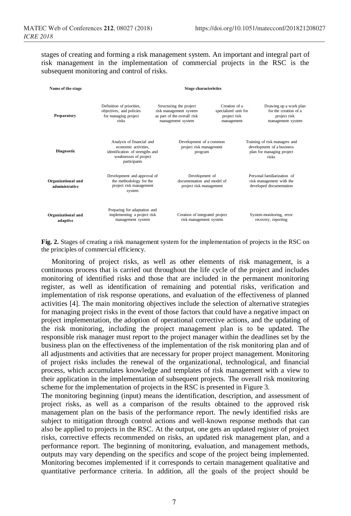stages of creating and forming a risk management system. An important and integral part of risk management in the implementation of commercial projects in the RSC is the subsequent monitoring and control of risks.

| Name of the stage                    | <b>Stage characteristics</b>                                                                                                  |                                                                                                       |                                                                     |                                                                                                  |
|--------------------------------------|-------------------------------------------------------------------------------------------------------------------------------|-------------------------------------------------------------------------------------------------------|---------------------------------------------------------------------|--------------------------------------------------------------------------------------------------|
| Preparatory                          | Definition of priorities,<br>objectives, and policies<br>for managing project<br>risks                                        | Structuring the project<br>risk management system<br>as part of the overall risk<br>management system | Creation of a<br>specialized unit for<br>project risk<br>management | Drawing up a work plan<br>for the creation of a<br>project risk<br>management system             |
| Diagnostic                           | Analysis of financial and<br>economic activities.<br>identification of strengths and<br>weaknesses of project<br>participants | Development of a common<br>project risk management<br>program                                         |                                                                     | Training of risk managers and<br>development of a business<br>plan for managing project<br>risks |
| Organizational and<br>administrative | Development and approval of<br>the methodology for the<br>project risk management<br>system                                   | Development of<br>documentation and model of<br>project risk management                               |                                                                     | Personal familiarization of<br>risk management with the<br>developed documentation               |
| Organizational and<br>adaptive       | Preparing for adaptation and<br>implementing a project risk<br>management system                                              | Creation of integrated project<br>risk management system                                              |                                                                     | System monitoring, error<br>recovery, reporting                                                  |

**Fig. 2.** Stages of creating a risk management system for the implementation of projects in the RSC on the principles of commercial efficiency.

Monitoring of project risks, as well as other elements of risk management, is a continuous process that is carried out throughout the life cycle of the project and includes monitoring of identified risks and those that are included in the permanent monitoring register, as well as identification of remaining and potential risks, verification and implementation of risk response operations, and evaluation of the effectiveness of planned activities [4]. The main monitoring objectives include the selection of alternative strategies for managing project risks in the event of those factors that could have a negative impact on project implementation, the adoption of operational corrective actions, and the updating of the risk monitoring, including the project management plan is to be updated. The responsible risk manager must report to the project manager within the deadlines set by the business plan on the effectiveness of the implementation of the risk monitoring plan and of all adjustments and activities that are necessary for proper project management. Monitoring of project risks includes the renewal of the organizational, technological, and financial process, which accumulates knowledge and templates of risk management with a view to their application in the implementation of subsequent projects. The overall risk monitoring scheme for the implementation of projects in the RSC is presented in Figure 3.

The monitoring beginning (input) means the identification, description, and assessment of project risks, as well as a comparison of the results obtained to the approved risk management plan on the basis of the performance report. The newly identified risks are subject to mitigation through control actions and well-known response methods that can also be applied to projects in the RSC. At the output, one gets an updated register of project risks, corrective effects recommended on risks, an updated risk management plan, and a performance report. The beginning of monitoring, evaluation, and management methods, outputs may vary depending on the specifics and scope of the project being implemented. Monitoring becomes implemented if it corresponds to certain management qualitative and quantitative performance criteria. In addition, all the goals of the project should be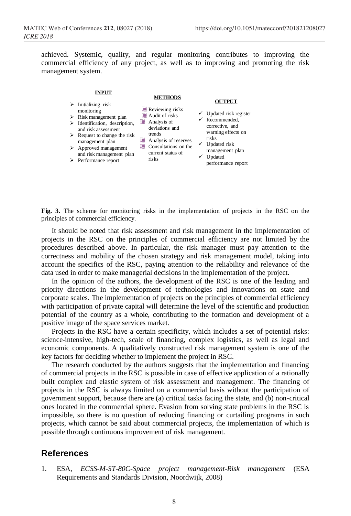achieved. Systemic, quality, and regular monitoring contributes to improving the commercial efficiency of any project, as well as to improving and promoting the risk management system.

#### **INPUT**

#### **METHODS**

- $\triangleright$  Initializing risk monitoring
- $\triangleright$  Risk management plan
- Ø Identification, description,
- and risk assessment  $\triangleright$  Request to change the risk managemen<sup>t</sup> plan
- $\triangleright$  Approved management and risk management plan
- Ø Performance repor<sup>t</sup>
- Reviewing risks **E** Audit of risks
- **N** Analysis of
- deviations and trends
- **Analysis of reserves** Consultations on the  $\checkmark$  Updated risk current status of risks
- **OUTPUT**
- $\checkmark$  Updated risk register  $\checkmark$  Recommended, corrective, and warning effects on risks
	- managemen<sup>t</sup> plan  $\checkmark$  Updated
	- performance repor<sup>t</sup>

**Fig. 3.** The scheme for monitoring risks in the implementation of projects in the RSC on the principles of commercial efficiency.

It should be noted that risk assessment and risk management in the implementation of projects in the RSC on the principles of commercial efficiency are not limited by the procedures described above. In particular, the risk manager must pay attention to the correctness and mobility of the chosen strategy and risk management model, taking into account the specifics of the RSC, paying attention to the reliability and relevance of the data used in order to make managerial decisions in the implementation of the project.

In the opinion of the authors, the development of the RSC is one of the leading and priority directions in the development of technologies and innovations on state and corporate scales. The implementation of projects on the principles of commercial efficiency with participation of private capital will determine the level of the scientific and production potential of the country as a whole, contributing to the formation and development of a positive image of the space services market.

Projects in the RSC have a certain specificity, which includes a set of potential risks: science-intensive, high-tech, scale of financing, complex logistics, as well as legal and economic components. A qualitatively constructed risk management system is one of the key factors for deciding whether to implement the project in RSC.

The research conducted by the authors suggests that the implementation and financing of commercial projects in the RSC is possible in case of effective application of a rationally built complex and elastic system of risk assessment and management. The financing of projects in the RSC is always limited on a commercial basis without the participation of government support, because there are (a) critical tasks facing the state, and (b) non-critical ones located in the commercial sphere. Evasion from solving state problems in the RSC is impossible, so there is no question of reducing financing or curtailing programs in such projects, which cannot be said about commercial projects, the implementation of which is possible through continuous improvement of risk management.

## **References**

1. ESA, *ECSS-M-ST-80C-Space project management-Risk management* (ESA Requirements and Standards Division, Noordwijk, 2008)